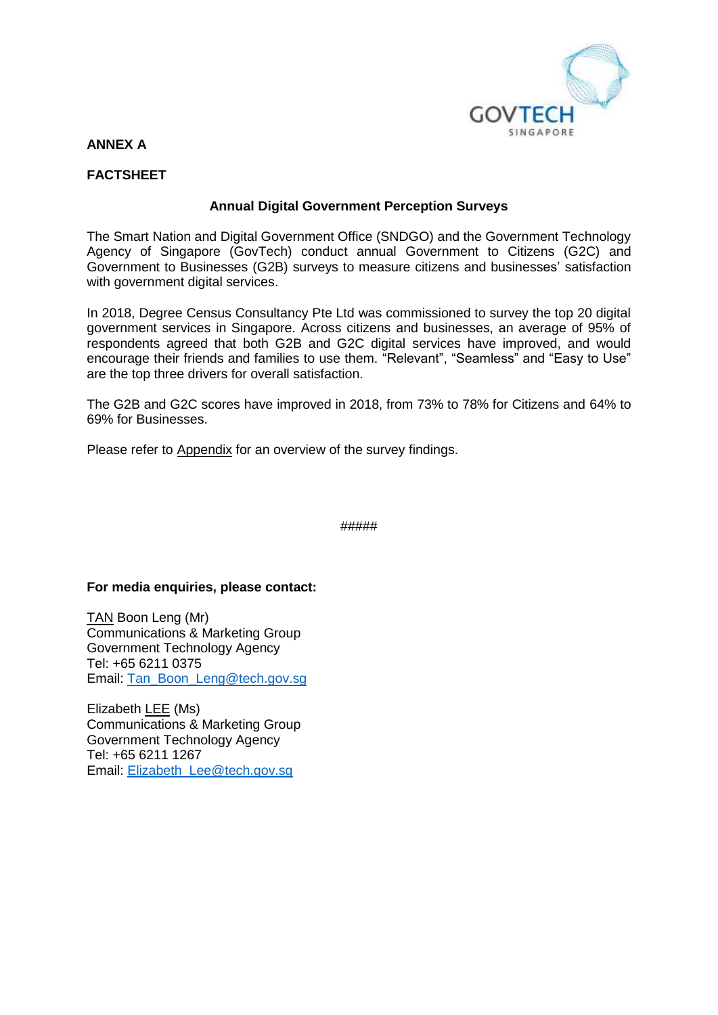

## **ANNEX A**

## **FACTSHEET**

### **Annual Digital Government Perception Surveys**

The Smart Nation and Digital Government Office (SNDGO) and the Government Technology Agency of Singapore (GovTech) conduct annual Government to Citizens (G2C) and Government to Businesses (G2B) surveys to measure citizens and businesses' satisfaction with government digital services.

In 2018, Degree Census Consultancy Pte Ltd was commissioned to survey the top 20 digital government services in Singapore. Across citizens and businesses, an average of 95% of respondents agreed that both G2B and G2C digital services have improved, and would encourage their friends and families to use them. "Relevant", "Seamless" and "Easy to Use" are the top three drivers for overall satisfaction.

The G2B and G2C scores have improved in 2018, from 73% to 78% for Citizens and 64% to 69% for Businesses.

Please refer to Appendix for an overview of the survey findings.

#####

#### **For media enquiries, please contact:**

TAN Boon Leng (Mr) Communications & Marketing Group Government Technology Agency Tel: +65 6211 0375 Email: [Tan\\_Boon\\_Leng@tech.gov.sg](mailto:Tan_Boon_Leng@tech.gov.sg)

Elizabeth LEE (Ms) Communications & Marketing Group Government Technology Agency Tel: +65 6211 1267 Email: [Elizabeth\\_Lee@tech.gov.sg](mailto:Elizabeth_Lee@tech.gov.sg)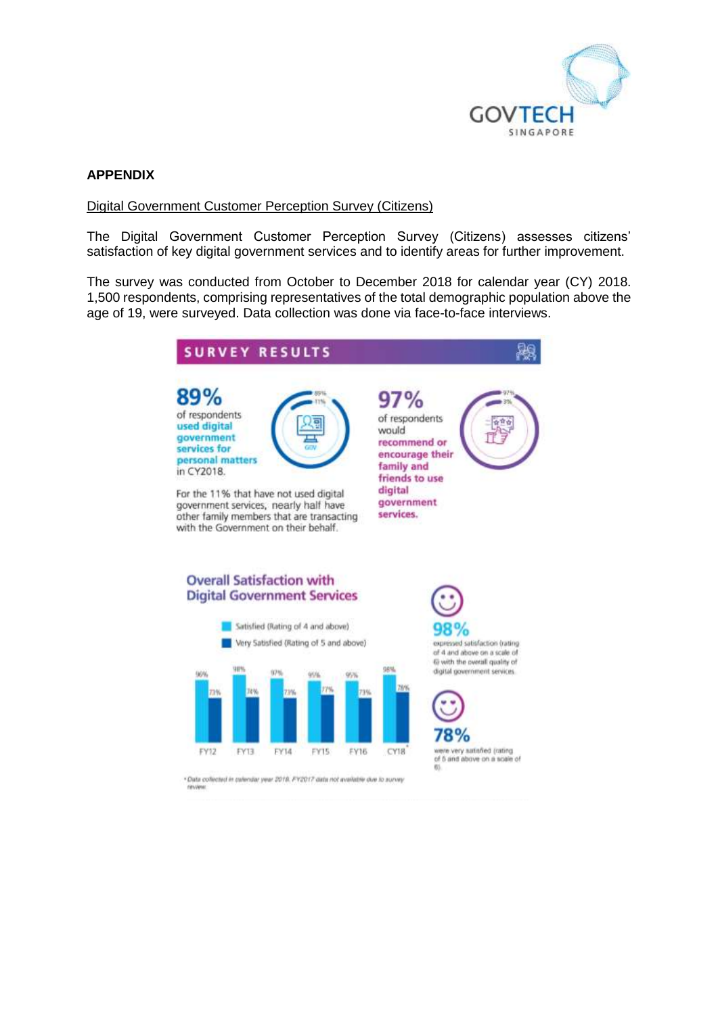

# **APPENDIX**

#### Digital Government Customer Perception Survey (Citizens)

The Digital Government Customer Perception Survey (Citizens) assesses citizens' satisfaction of key digital government services and to identify areas for further improvement.

The survey was conducted from October to December 2018 for calendar year (CY) 2018. 1,500 respondents, comprising representatives of the total demographic population above the age of 19, were surveyed. Data collection was done via face-to-face interviews.